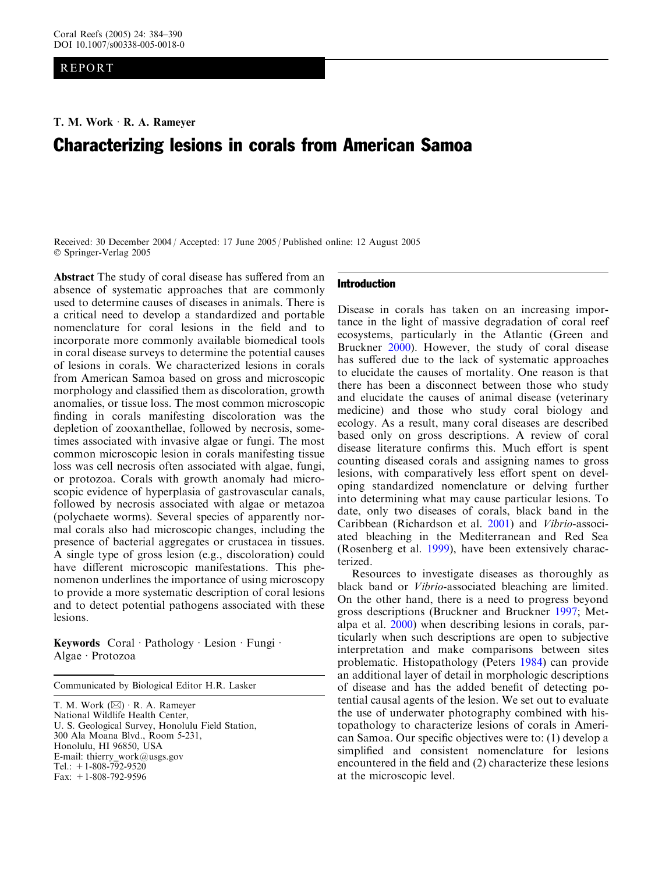## REPORT

# Characterizing lesions in corals from American Samoa

Received: 30 December 2004 / Accepted: 17 June 2005 / Published online: 12 August 2005 Springer-Verlag 2005

Abstract The study of coral disease has suffered from an absence of systematic approaches that are commonly used to determine causes of diseases in animals. There is a critical need to develop a standardized and portable nomenclature for coral lesions in the field and to incorporate more commonly available biomedical tools in coral disease surveys to determine the potential causes of lesions in corals. We characterized lesions in corals from American Samoa based on gross and microscopic morphology and classified them as discoloration, growth anomalies, or tissue loss. The most common microscopic finding in corals manifesting discoloration was the depletion of zooxanthellae, followed by necrosis, sometimes associated with invasive algae or fungi. The most common microscopic lesion in corals manifesting tissue loss was cell necrosis often associated with algae, fungi, or protozoa. Corals with growth anomaly had microscopic evidence of hyperplasia of gastrovascular canals, followed by necrosis associated with algae or metazoa (polychaete worms). Several species of apparently normal corals also had microscopic changes, including the presence of bacterial aggregates or crustacea in tissues. A single type of gross lesion (e.g., discoloration) could have different microscopic manifestations. This phenomenon underlines the importance of using microscopy to provide a more systematic description of coral lesions and to detect potential pathogens associated with these lesions.

Keywords Coral · Pathology · Lesion · Fungi · Algae · Protozoa

Communicated by Biological Editor H.R. Lasker

T. M. Work  $(\boxtimes)$  R. A. Rameyer National Wildlife Health Center, U. S. Geological Survey, Honolulu Field Station, 300 Ala Moana Blvd., Room 5-231, Honolulu, HI 96850, USA E-mail: thierry work@usgs.gov Tel.:  $+1-808-792-9520$ Fax: +1-808-792-9596

#### Introduction

Disease in corals has taken on an increasing importance in the light of massive degradation of coral reef ecosystems, particularly in the Atlantic (Green and Bruckner [2000](#page-6-0)). However, the study of coral disease has suffered due to the lack of systematic approaches to elucidate the causes of mortality. One reason is that there has been a disconnect between those who study and elucidate the causes of animal disease (veterinary medicine) and those who study coral biology and ecology. As a result, many coral diseases are described based only on gross descriptions. A review of coral disease literature confirms this. Much effort is spent counting diseased corals and assigning names to gross lesions, with comparatively less effort spent on developing standardized nomenclature or delving further into determining what may cause particular lesions. To date, only two diseases of corals, black band in the Caribbean (Richardson et al. [2001\)](#page-6-0) and Vibrio-associated bleaching in the Mediterranean and Red Sea (Rosenberg et al. [1999](#page-6-0)), have been extensively characterized.

Resources to investigate diseases as thoroughly as black band or Vibrio-associated bleaching are limited. On the other hand, there is a need to progress beyond gross descriptions (Bruckner and Bruckner [1997;](#page-5-0) Metalpa et al. [2000](#page-6-0)) when describing lesions in corals, particularly when such descriptions are open to subjective interpretation and make comparisons between sites problematic. Histopathology (Peters [1984\)](#page-6-0) can provide an additional layer of detail in morphologic descriptions of disease and has the added benefit of detecting potential causal agents of the lesion. We set out to evaluate the use of underwater photography combined with histopathology to characterize lesions of corals in American Samoa. Our specific objectives were to: (1) develop a simplified and consistent nomenclature for lesions encountered in the field and (2) characterize these lesions at the microscopic level.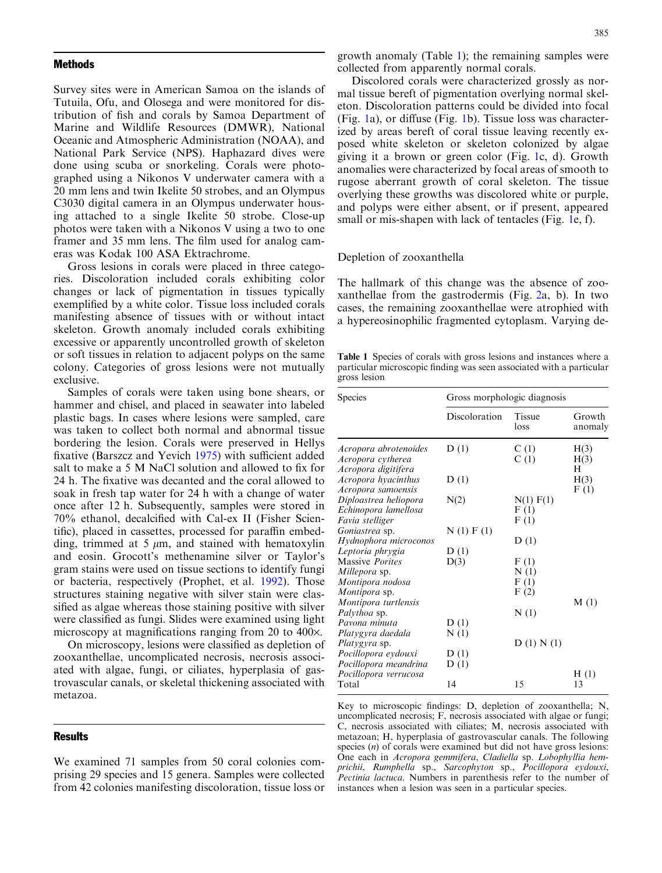#### <span id="page-1-0"></span>Methods

Survey sites were in American Samoa on the islands of Tutuila, Ofu, and Olosega and were monitored for distribution of fish and corals by Samoa Department of Marine and Wildlife Resources (DMWR), National Oceanic and Atmospheric Administration (NOAA), and National Park Service (NPS). Haphazard dives were done using scuba or snorkeling. Corals were photographed using a Nikonos V underwater camera with a 20 mm lens and twin Ikelite 50 strobes, and an Olympus C3030 digital camera in an Olympus underwater housing attached to a single Ikelite 50 strobe. Close-up photos were taken with a Nikonos V using a two to one framer and 35 mm lens. The film used for analog cameras was Kodak 100 ASA Ektrachrome.

Gross lesions in corals were placed in three categories. Discoloration included corals exhibiting color changes or lack of pigmentation in tissues typically exemplified by a white color. Tissue loss included corals manifesting absence of tissues with or without intact skeleton. Growth anomaly included corals exhibiting excessive or apparently uncontrolled growth of skeleton or soft tissues in relation to adjacent polyps on the same colony. Categories of gross lesions were not mutually exclusive.

Samples of corals were taken using bone shears, or hammer and chisel, and placed in seawater into labeled plastic bags. In cases where lesions were sampled, care was taken to collect both normal and abnormal tissue bordering the lesion. Corals were preserved in Hellys fixative (Barszcz and Yevich [1975](#page-5-0)) with sufficient added salt to make a 5 M NaCl solution and allowed to fix for 24 h. The fixative was decanted and the coral allowed to soak in fresh tap water for 24 h with a change of water once after 12 h. Subsequently, samples were stored in 70% ethanol, decalcified with Cal-ex II (Fisher Scientific), placed in cassettes, processed for paraffin embedding, trimmed at 5  $\mu$ m, and stained with hematoxylin and eosin. Grocott's methenamine silver or Taylor's gram stains were used on tissue sections to identify fungi or bacteria, respectively (Prophet, et al. [1992](#page-6-0)). Those structures staining negative with silver stain were classified as algae whereas those staining positive with silver were classified as fungi. Slides were examined using light microscopy at magnifications ranging from 20 to 400 $\times$ .

On microscopy, lesions were classified as depletion of zooxanthellae, uncomplicated necrosis, necrosis associated with algae, fungi, or ciliates, hyperplasia of gastrovascular canals, or skeletal thickening associated with metazoa.

#### **Results**

We examined 71 samples from 50 coral colonies comprising 29 species and 15 genera. Samples were collected from 42 colonies manifesting discoloration, tissue loss or

growth anomaly (Table 1); the remaining samples were collected from apparently normal corals.

Discolored corals were characterized grossly as normal tissue bereft of pigmentation overlying normal skeleton. Discoloration patterns could be divided into focal (Fig. 1a), or diffuse (Fig. [1b\). Tissue loss was character](#page-2-0)[ized by areas bereft of coral tissue leaving recently ex](#page-2-0)[posed white skeleton or skeleton colonized by algae](#page-2-0) [giving it a brown or green color \(Fig.](#page-2-0) 1c, d). Growth [anomalies were characterized by focal areas of smooth to](#page-2-0) [rugose aberrant growth of coral skeleton. The tissue](#page-2-0) [overlying these growths was discolored white or purple,](#page-2-0) [and polyps were either absent, or if present, appeared](#page-2-0) [small or mis-shapen with lack of tentacles \(Fig.](#page-2-0) 1e, f).

## Depletion of zooxanthella

The hallmark of this change was the absence of zooxanthellae from the gastrodermis (Fig. [2a, b\). In two](#page-3-0) [cases, the remaining zooxanthellae were atrophied with](#page-3-0) [a hypereosinophilic fragmented cytoplasm. Varying de-](#page-3-0)

Table 1 Species of corals with gross lesions and instances where a particular microscopic finding was seen associated with a particular gross lesion

| <b>Species</b>                                                     | Gross morphologic diagnosis |                           |                   |
|--------------------------------------------------------------------|-----------------------------|---------------------------|-------------------|
|                                                                    | Discoloration               | <b>Tissue</b><br>loss     | Growth<br>anomaly |
| Acropora abrotenoides<br>Acropora cytherea<br>Acropora digitifera  | D(1)                        | C(1)<br>C(1)              | H(3)<br>H(3)<br>н |
| Acropora hyacinthus<br>Acropora samoensis                          | D(1)                        |                           | H(3)<br>F(1)      |
| Diploastrea heliopora<br>Echinopora lamellosa<br>Favia stelliger   | N(2)                        | N(1) F(1)<br>F(1)<br>F(1) |                   |
| Goniastrea sp.<br>Hydnophora microconos                            | N(1) F(1)                   | D(1)                      |                   |
| Leptoria phrygia<br><b>Massive Porites</b><br><i>Millepora</i> sp. | D(1)<br>D(3)                | F(1)<br>N(1)              |                   |
| Montipora nodosa<br>Montipora sp.                                  |                             | F(1)<br>F(2)              |                   |
| Montipora turtlensis<br>Palythoa sp.<br>Pavona minuta              | D(1)                        | N(1)                      | M(1)              |
| Platygyra daedala<br><i>Platygyra</i> sp.                          | N(1)                        | D(1) N(1)                 |                   |
| Pocillopora eydouxi<br>Pocillopora meandrina                       | D(1)<br>D(1)                |                           |                   |
| Pocillopora verrucosa<br>Total                                     | 14                          | 15                        | H(1)<br>13        |

Key to microscopic findings: D, depletion of zooxanthella; N, uncomplicated necrosis; F, necrosis associated with algae or fungi; C, necrosis associated with ciliates; M, necrosis associated with metazoan; H, hyperplasia of gastrovascular canals. The following species (n) of corals were examined but did not have gross lesions: One each in Acropora gemmifera, Cladiella sp. Lobophyllia hemprichii, Rumphella sp., Sarcophyton sp., Pocillopora eydouxi, Pectinia lactuca. Numbers in parenthesis refer to the number of instances when a lesion was seen in a particular species.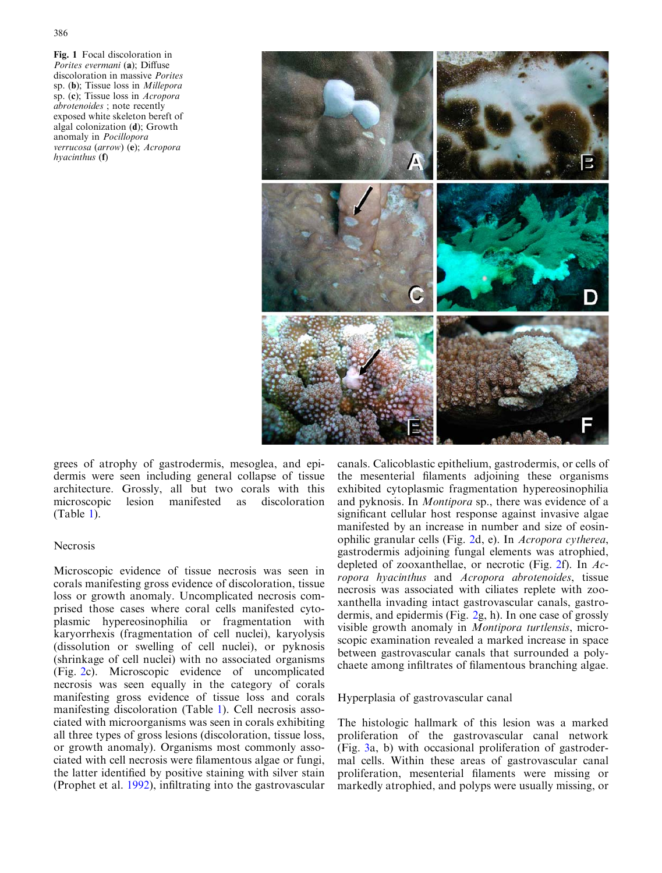<span id="page-2-0"></span>Fig. 1 Focal discoloration in Porites evermani (a); Diffuse discoloration in massive Porites sp. (b); Tissue loss in Millepora sp. (c); Tissue loss in Acropora abrotenoides ; note recently exposed white skeleton bereft of algal colonization (d); Growth anomaly in Pocillopora verrucosa (arrow) (e); Acropora hyacinthus (f)



[grees of atrophy of gastrodermis, mesoglea, and epi](#page-3-0)[dermis were seen including general collapse of tissue](#page-3-0) [architecture. Grossly, all but two corals with this](#page-3-0) [microscopic lesion manifested as discoloration](#page-3-0) [\(Table](#page-1-0) 1).

## Necrosis

Microscopic evidence of tissue necrosis was seen in corals manifesting gross evidence of discoloration, tissue loss or growth anomaly. Uncomplicated necrosis comprised those cases where coral cells manifested cytoplasmic hypereosinophilia or fragmentation with karyorrhexis (fragmentation of cell nuclei), karyolysis (dissolution or swelling of cell nuclei), or pyknosis (shrinkage of cell nuclei) with no associated organisms (Fig. [2c\). Microscopic evidence of uncomplicated](#page-3-0) [necrosis was seen equally in the category of corals](#page-3-0) [manifesting gross evidence of tissue loss and corals](#page-3-0) [manifesting discoloration \(Table](#page-1-0) 1). Cell necrosis asso[ciated with microorganisms was seen in corals exhibiting](#page-1-0) [all three types of gross lesions \(discoloration, tissue loss,](#page-1-0) [or growth anomaly\). Organisms most commonly asso](#page-1-0)[ciated with cell necrosis were filamentous algae or fungi,](#page-1-0) [the latter identified by positive staining with silver stain](#page-1-0) [\(Prophet et al.](#page-6-0) 1992), infiltrating into the gastrovascular canals. Calicoblastic epithelium, gastrodermis, or cells of the mesenterial filaments adjoining these organisms exhibited cytoplasmic fragmentation hypereosinophilia and pyknosis. In Montipora sp., there was evidence of a significant cellular host response against invasive algae manifested by an increase in number and size of eosinophilic granular cells (Fig. 2d, e). In [Acropora cytherea](#page-3-0), [gastrodermis adjoining fungal elements was atrophied,](#page-3-0) [depleted of zooxanthellae, or necrotic \(Fig.](#page-3-0) 2f). In  $Ac$ ropora hyacinthus and [Acropora abrotenoides](#page-3-0), tissue [necrosis was associated with ciliates replete with zoo](#page-3-0)[xanthella invading intact gastrovascular canals, gastro](#page-3-0)dermis, and epidermis (Fig. [2g, h\). In one case of grossly](#page-3-0) [visible growth anomaly in](#page-3-0) Montipora turtlensis, micro[scopic examination revealed a marked increase in space](#page-3-0) [between gastrovascular canals that surrounded a poly](#page-3-0)[chaete among infiltrates of filamentous branching algae.](#page-3-0)

Hyperplasia of gastrovascular canal

The histologic hallmark of this lesion was a marked proliferation of the gastrovascular canal network (Fig. [3a, b\) with occasional proliferation of gastroder](#page-4-0)[mal cells. Within these areas of gastrovascular canal](#page-4-0) [proliferation, mesenterial filaments were missing or](#page-4-0) [markedly atrophied, and polyps were usually missing, or](#page-4-0)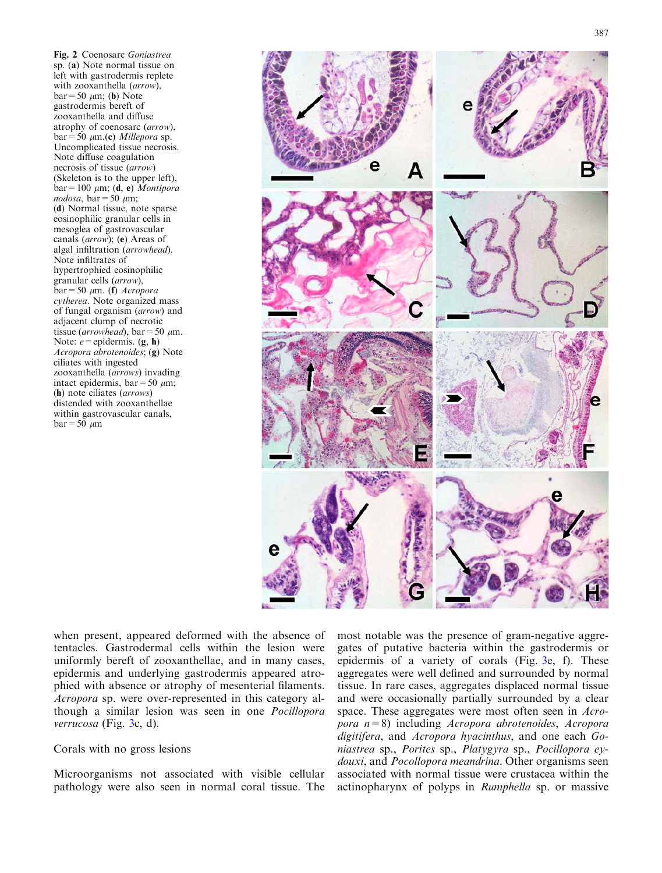<span id="page-3-0"></span>Fig. 2 Coenosarc Goniastrea sp. (a) Note normal tissue on left with gastrodermis replete with zooxanthella (arrow),  $bar=50 \mu m$ ; (b) Note gastrodermis bereft of zooxanthella and diffuse atrophy of coenosarc (arrow),  $bar=50 \mu m.$ (c) *Millepora* sp. Uncomplicated tissue necrosis. Note diffuse coagulation necrosis of tissue (arrow) (Skeleton is to the upper left),  $bar=100 \mu m$ ; (d, e) Montipora nodosa, bar = 50  $\mu$ m; (d) Normal tissue, note sparse eosinophilic granular cells in mesoglea of gastrovascular canals (arrow); (e) Areas of algal infiltration (arrowhead). Note infiltrates of hypertrophied eosinophilic granular cells (arrow),  $bar=50 \mu m$ . (f) Acropora cytherea. Note organized mass of fungal organism (arrow) and adjacent clump of necrotic tissue (arrowhead), bar = 50  $\mu$ m. Note:  $e =$ epidermis. (g, h) Acropora abrotenoides; (g) Note ciliates with ingested zooxanthella (arrows) invading intact epidermis, bar = 50  $\mu$ m; (h) note ciliates (arrows) distended with zooxanthellae within gastrovascular canals,  $bar=50 \mu m$ 



[when present, appeared deformed with the absence of](#page-4-0) [tentacles. Gastrodermal cells within the lesion were](#page-4-0) [uniformly bereft of zooxanthellae, and in many cases,](#page-4-0) [epidermis and underlying gastrodermis appeared atro](#page-4-0)[phied with absence or atrophy of mesenterial filaments.](#page-4-0) Acropora [sp. were over-represented in this category al](#page-4-0)[though a similar lesion was seen in one](#page-4-0) Pocillopora [verrucosa](#page-4-0) (Fig. 3c, d).

Corals with no gross lesions

Microorganisms not associated with visible cellular pathology were also seen in normal coral tissue. The most notable was the presence of gram-negative aggregates of putative bacteria within the gastrodermis or epidermis of a variety of corals (Fig. [3e, f\). These](#page-4-0) [aggregates were well defined and surrounded by normal](#page-4-0) [tissue. In rare cases, aggregates displaced normal tissue](#page-4-0) [and were occasionally partially surrounded by a clear](#page-4-0) [space. These aggregates were most often seen in](#page-4-0) Acropora n=8) including [Acropora abrotenoides](#page-4-0), Acropora digitifera, and [Acropora hyacinthus](#page-4-0), and one each Goniastrea sp., Porites sp., Platygyra sp., [Pocillopora ey-](#page-4-0)douxi, and Pocollopora meandrina[. Other organisms seen](#page-4-0) [associated with normal tissue were crustacea within the](#page-4-0) [actinopharynx of polyps in](#page-4-0) Rumphella sp. or massive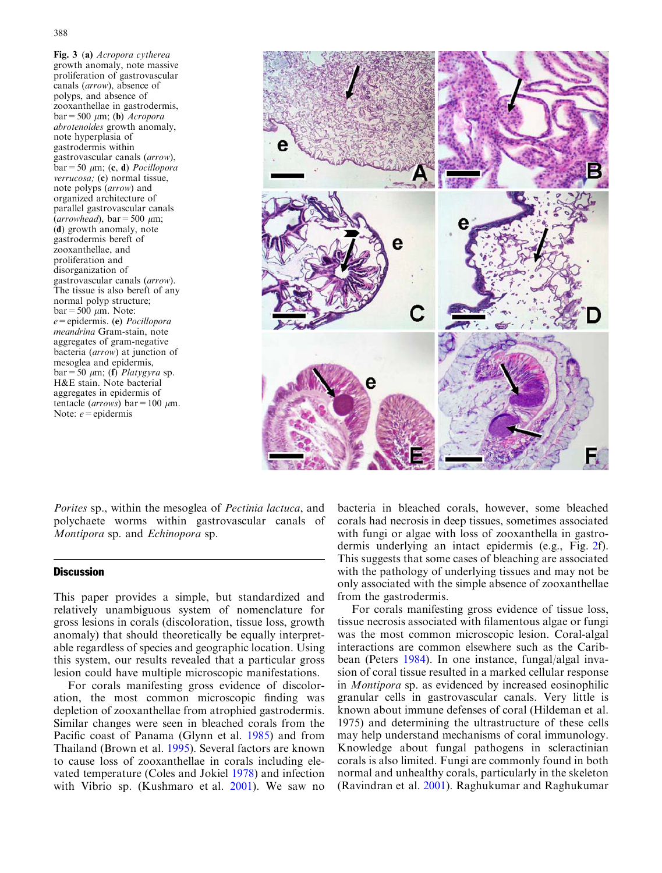<span id="page-4-0"></span>Fig. 3 (a) Acropora cytherea growth anomaly, note massive proliferation of gastrovascular canals (arrow), absence of polyps, and absence of zooxanthellae in gastrodermis,  $bar=500 \mu m$ ; (b) *Acropora* abrotenoides growth anomaly, note hyperplasia of gastrodermis within gastrovascular canals (arrow),  $bar=50 \mu m$ ; (c, d) *Pocillopora* verrucosa; (c) normal tissue, note polyps (arrow) and organized architecture of parallel gastrovascular canals  $(arrowhead)$ , bar = 500  $\mu$ m; (d) growth anomaly, note gastrodermis bereft of zooxanthellae, and proliferation and disorganization of gastrovascular canals (arrow). The tissue is also bereft of any normal polyp structure;  $bar=500 \mu m$ . Note: e=epidermis. (e) Pocillopora meandrina Gram-stain, note aggregates of gram-negative bacteria (arrow) at junction of mesoglea and epidermis,  $bar=50 \mu m$ ; (f) *Platygyra* sp. H&E stain. Note bacterial aggregates in epidermis of tentacle (*arrows*) bar = 100  $\mu$ m. Note:  $e$  = epidermis



Porites sp., within the mesoglea of Pectinia lactuca, and polychaete worms within gastrovascular canals of Montipora sp. and Echinopora sp.

### **Discussion**

This paper provides a simple, but standardized and relatively unambiguous system of nomenclature for gross lesions in corals (discoloration, tissue loss, growth anomaly) that should theoretically be equally interpretable regardless of species and geographic location. Using this system, our results revealed that a particular gross lesion could have multiple microscopic manifestations.

For corals manifesting gross evidence of discoloration, the most common microscopic finding was depletion of zooxanthellae from atrophied gastrodermis. Similar changes were seen in bleached corals from the Pacific coast of Panama (Glynn et al. [1985](#page-6-0)) and from Thailand (Brown et al. [1995](#page-5-0)). Several factors are known to cause loss of zooxanthellae in corals including elevated temperature (Coles and Jokiel [1978](#page-5-0)) and infection with Vibrio sp. (Kushmaro et al. [2001](#page-6-0)). We saw no

bacteria in bleached corals, however, some bleached corals had necrosis in deep tissues, sometimes associated with fungi or algae with loss of zooxanthella in gastrodermis underlying an intact epidermis (e.g., Fig. [2f\).](#page-3-0) [This suggests that some cases of bleaching are associated](#page-3-0) [with the pathology of underlying tissues and may not be](#page-3-0) [only associated with the simple absence of zooxanthellae](#page-3-0) [from the gastrodermis.](#page-3-0)

For corals manifesting gross evidence of tissue loss, tissue necrosis associated with filamentous algae or fungi was the most common microscopic lesion. Coral-algal interactions are common elsewhere such as the Caribbean (Peters [1984\)](#page-6-0). In one instance, fungal/algal invasion of coral tissue resulted in a marked cellular response in Montipora sp. as evidenced by increased eosinophilic granular cells in gastrovascular canals. Very little is known about immune defenses of coral (Hildeman et al. [1975\)](#page-6-0) and determining the ultrastructure of these cells may help understand mechanisms of coral immunology. Knowledge about fungal pathogens in scleractinian corals is also limited. Fungi are commonly found in both normal and unhealthy corals, particularly in the skeleton (Ravindran et al. [2001\)](#page-6-0). Raghukumar and Raghukumar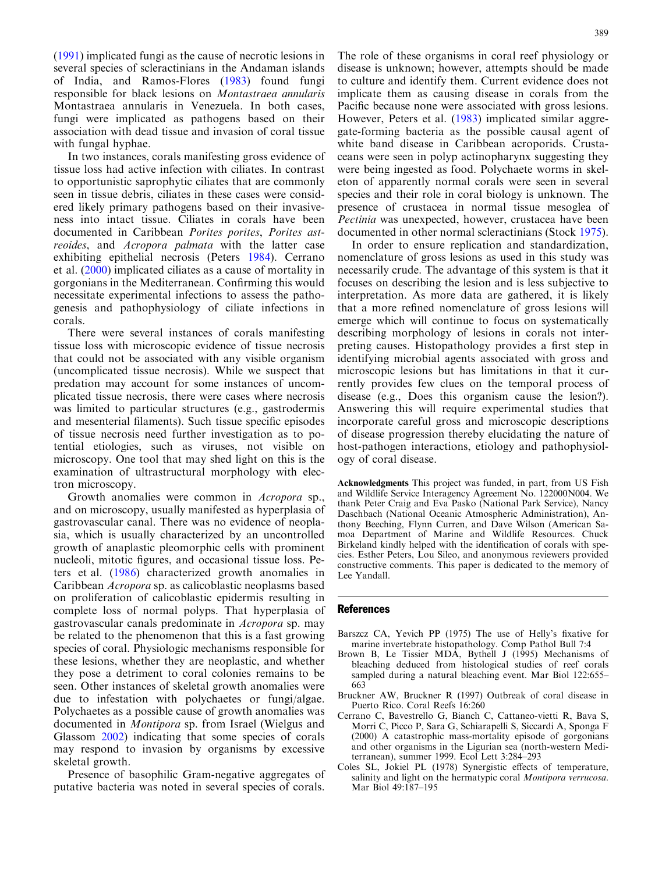<span id="page-5-0"></span>([1991\)](#page-6-0) implicated fungi as the cause of necrotic lesions in several species of scleractinians in the Andaman islands of India, and Ramos-Flores [\(1983\)](#page-6-0) found fungi responsible for black lesions on Montastraea annularis Montastraea annularis in Venezuela. In both cases, fungi were implicated as pathogens based on their association with dead tissue and invasion of coral tissue with fungal hyphae.

In two instances, corals manifesting gross evidence of tissue loss had active infection with ciliates. In contrast to opportunistic saprophytic ciliates that are commonly seen in tissue debris, ciliates in these cases were considered likely primary pathogens based on their invasiveness into intact tissue. Ciliates in corals have been documented in Caribbean Porites porites, Porites astreoides, and Acropora palmata with the latter case exhibiting epithelial necrosis (Peters [1984](#page-6-0)). Cerrano et al. (2000) implicated ciliates as a cause of mortality in gorgonians in the Mediterranean. Confirming this would necessitate experimental infections to assess the pathogenesis and pathophysiology of ciliate infections in corals.

There were several instances of corals manifesting tissue loss with microscopic evidence of tissue necrosis that could not be associated with any visible organism (uncomplicated tissue necrosis). While we suspect that predation may account for some instances of uncomplicated tissue necrosis, there were cases where necrosis was limited to particular structures (e.g., gastrodermis and mesenterial filaments). Such tissue specific episodes of tissue necrosis need further investigation as to potential etiologies, such as viruses, not visible on microscopy. One tool that may shed light on this is the examination of ultrastructural morphology with electron microscopy.

Growth anomalies were common in Acropora sp., and on microscopy, usually manifested as hyperplasia of gastrovascular canal. There was no evidence of neoplasia, which is usually characterized by an uncontrolled growth of anaplastic pleomorphic cells with prominent nucleoli, mitotic figures, and occasional tissue loss. Peters et al. [\(1986](#page-6-0)) characterized growth anomalies in Caribbean Acropora sp. as calicoblastic neoplasms based on proliferation of calicoblastic epidermis resulting in complete loss of normal polyps. That hyperplasia of gastrovascular canals predominate in Acropora sp. may be related to the phenomenon that this is a fast growing species of coral. Physiologic mechanisms responsible for these lesions, whether they are neoplastic, and whether they pose a detriment to coral colonies remains to be seen. Other instances of skeletal growth anomalies were due to infestation with polychaetes or fungi/algae. Polychaetes as a possible cause of growth anomalies was documented in Montipora sp. from Israel (Wielgus and Glassom [2002](#page-6-0)) indicating that some species of corals may respond to invasion by organisms by excessive skeletal growth.

Presence of basophilic Gram-negative aggregates of putative bacteria was noted in several species of corals. The role of these organisms in coral reef physiology or disease is unknown; however, attempts should be made to culture and identify them. Current evidence does not implicate them as causing disease in corals from the Pacific because none were associated with gross lesions. However, Peters et al. [\(1983](#page-6-0)) implicated similar aggregate-forming bacteria as the possible causal agent of white band disease in Caribbean acroporids. Crustaceans were seen in polyp actinopharynx suggesting they were being ingested as food. Polychaete worms in skeleton of apparently normal corals were seen in several species and their role in coral biology is unknown. The presence of crustacea in normal tissue mesoglea of Pectinia was unexpected, however, crustacea have been documented in other normal scleractinians (Stock [1975\)](#page-6-0).

In order to ensure replication and standardization, nomenclature of gross lesions as used in this study was necessarily crude. The advantage of this system is that it focuses on describing the lesion and is less subjective to interpretation. As more data are gathered, it is likely that a more refined nomenclature of gross lesions will emerge which will continue to focus on systematically describing morphology of lesions in corals not interpreting causes. Histopathology provides a first step in identifying microbial agents associated with gross and microscopic lesions but has limitations in that it currently provides few clues on the temporal process of disease (e.g., Does this organism cause the lesion?). Answering this will require experimental studies that incorporate careful gross and microscopic descriptions of disease progression thereby elucidating the nature of host-pathogen interactions, etiology and pathophysiology of coral disease.

Acknowledgments This project was funded, in part, from US Fish and Wildlife Service Interagency Agreement No. 122000N004. We thank Peter Craig and Eva Pasko (National Park Service), Nancy Daschbach (National Oceanic Atmospheric Administration), Anthony Beeching, Flynn Curren, and Dave Wilson (American Samoa Department of Marine and Wildlife Resources. Chuck Birkeland kindly helped with the identification of corals with species. Esther Peters, Lou Sileo, and anonymous reviewers provided constructive comments. This paper is dedicated to the memory of Lee Yandall.

#### **References**

- Barszcz CA, Yevich PP (1975) The use of Helly's fixative for marine invertebrate histopathology. Comp Pathol Bull 7:4
- Brown B, Le Tissier MDA, Bythell J (1995) Mechanisms of bleaching deduced from histological studies of reef corals sampled during a natural bleaching event. Mar Biol 122:655– 663
- Bruckner AW, Bruckner R (1997) Outbreak of coral disease in Puerto Rico. Coral Reefs 16:260
- Cerrano C, Bavestrello G, Bianch C, Cattaneo-vietti R, Bava S, Morri C, Picco P, Sara G, Schiarapelli S, Siccardi A, Sponga F (2000) A catastrophic mass-mortality episode of gorgonians and other organisms in the Ligurian sea (north-western Mediterranean), summer 1999. Ecol Lett 3:284–293
- Coles SL, Jokiel PL (1978) Synergistic effects of temperature, salinity and light on the hermatypic coral *Montipora verrucosa*. Mar Biol 49:187–195